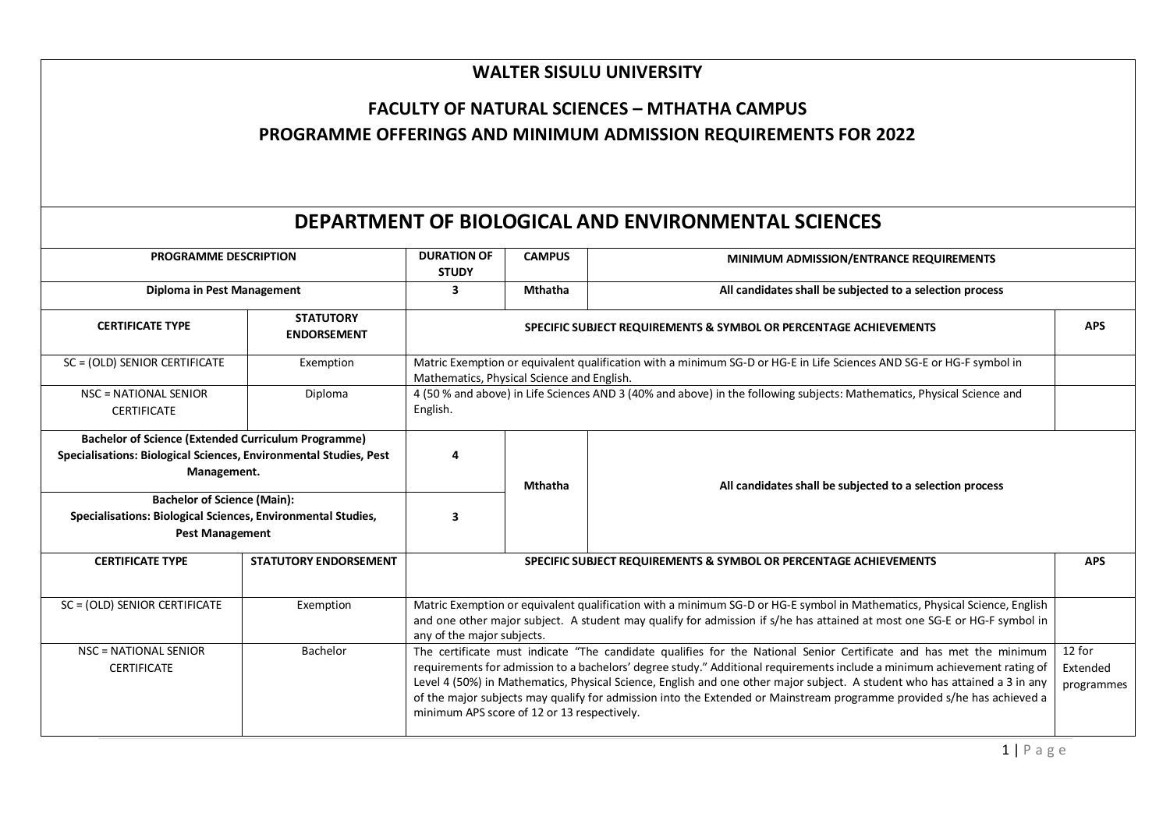## **WALTER SISULU UNIVERSITY**

## **FACULTY OF NATURAL SCIENCES – MTHATHA CAMPUS PROGRAMME OFFERINGS AND MINIMUM ADMISSION REQUIREMENTS FOR 2022**

## **DEPARTMENT OF BIOLOGICAL AND ENVIRONMENTAL SCIENCES**

| <b>PROGRAMME DESCRIPTION</b>                                                                                                                                                                                                                                                   |                                        | <b>DURATION OF</b><br><b>STUDY</b>                                                                                                                                                                                                                                                                                                                                                                                                                                                                                                                                                         | <b>CAMPUS</b>  | MINIMUM ADMISSION/ENTRANCE REQUIREMENTS                           |            |  |
|--------------------------------------------------------------------------------------------------------------------------------------------------------------------------------------------------------------------------------------------------------------------------------|----------------------------------------|--------------------------------------------------------------------------------------------------------------------------------------------------------------------------------------------------------------------------------------------------------------------------------------------------------------------------------------------------------------------------------------------------------------------------------------------------------------------------------------------------------------------------------------------------------------------------------------------|----------------|-------------------------------------------------------------------|------------|--|
| Diploma in Pest Management                                                                                                                                                                                                                                                     |                                        | 3                                                                                                                                                                                                                                                                                                                                                                                                                                                                                                                                                                                          | <b>Mthatha</b> | All candidates shall be subjected to a selection process          |            |  |
| <b>CERTIFICATE TYPE</b>                                                                                                                                                                                                                                                        | <b>STATUTORY</b><br><b>ENDORSEMENT</b> | SPECIFIC SUBJECT REQUIREMENTS & SYMBOL OR PERCENTAGE ACHIEVEMENTS                                                                                                                                                                                                                                                                                                                                                                                                                                                                                                                          |                |                                                                   |            |  |
| SC = (OLD) SENIOR CERTIFICATE                                                                                                                                                                                                                                                  | Exemption                              | Matric Exemption or equivalent qualification with a minimum SG-D or HG-E in Life Sciences AND SG-E or HG-F symbol in<br>Mathematics, Physical Science and English.                                                                                                                                                                                                                                                                                                                                                                                                                         |                |                                                                   |            |  |
| NSC = NATIONAL SENIOR<br><b>CERTIFICATE</b>                                                                                                                                                                                                                                    | Diploma                                | 4 (50 % and above) in Life Sciences AND 3 (40% and above) in the following subjects: Mathematics, Physical Science and<br>English.                                                                                                                                                                                                                                                                                                                                                                                                                                                         |                |                                                                   |            |  |
| <b>Bachelor of Science (Extended Curriculum Programme)</b><br>Specialisations: Biological Sciences, Environmental Studies, Pest<br>Management.<br><b>Bachelor of Science (Main):</b><br>Specialisations: Biological Sciences, Environmental Studies,<br><b>Pest Management</b> |                                        | 4<br>3                                                                                                                                                                                                                                                                                                                                                                                                                                                                                                                                                                                     | <b>Mthatha</b> | All candidates shall be subjected to a selection process          |            |  |
| <b>CERTIFICATE TYPE</b>                                                                                                                                                                                                                                                        | <b>STATUTORY ENDORSEMENT</b>           |                                                                                                                                                                                                                                                                                                                                                                                                                                                                                                                                                                                            |                | SPECIFIC SUBJECT REQUIREMENTS & SYMBOL OR PERCENTAGE ACHIEVEMENTS | <b>APS</b> |  |
| SC = (OLD) SENIOR CERTIFICATE                                                                                                                                                                                                                                                  | Exemption                              | Matric Exemption or equivalent qualification with a minimum SG-D or HG-E symbol in Mathematics, Physical Science, English<br>and one other major subject. A student may qualify for admission if s/he has attained at most one SG-E or HG-F symbol in<br>any of the major subjects.                                                                                                                                                                                                                                                                                                        |                |                                                                   |            |  |
| <b>NSC = NATIONAL SENIOR</b><br><b>CERTIFICATE</b>                                                                                                                                                                                                                             | Bachelor                               | The certificate must indicate "The candidate qualifies for the National Senior Certificate and has met the minimum<br>12 for<br>requirements for admission to a bachelors' degree study." Additional requirements include a minimum achievement rating of<br>Extended<br>Level 4 (50%) in Mathematics, Physical Science, English and one other major subject. A student who has attained a 3 in any<br>programmes<br>of the major subjects may qualify for admission into the Extended or Mainstream programme provided s/he has achieved a<br>minimum APS score of 12 or 13 respectively. |                |                                                                   |            |  |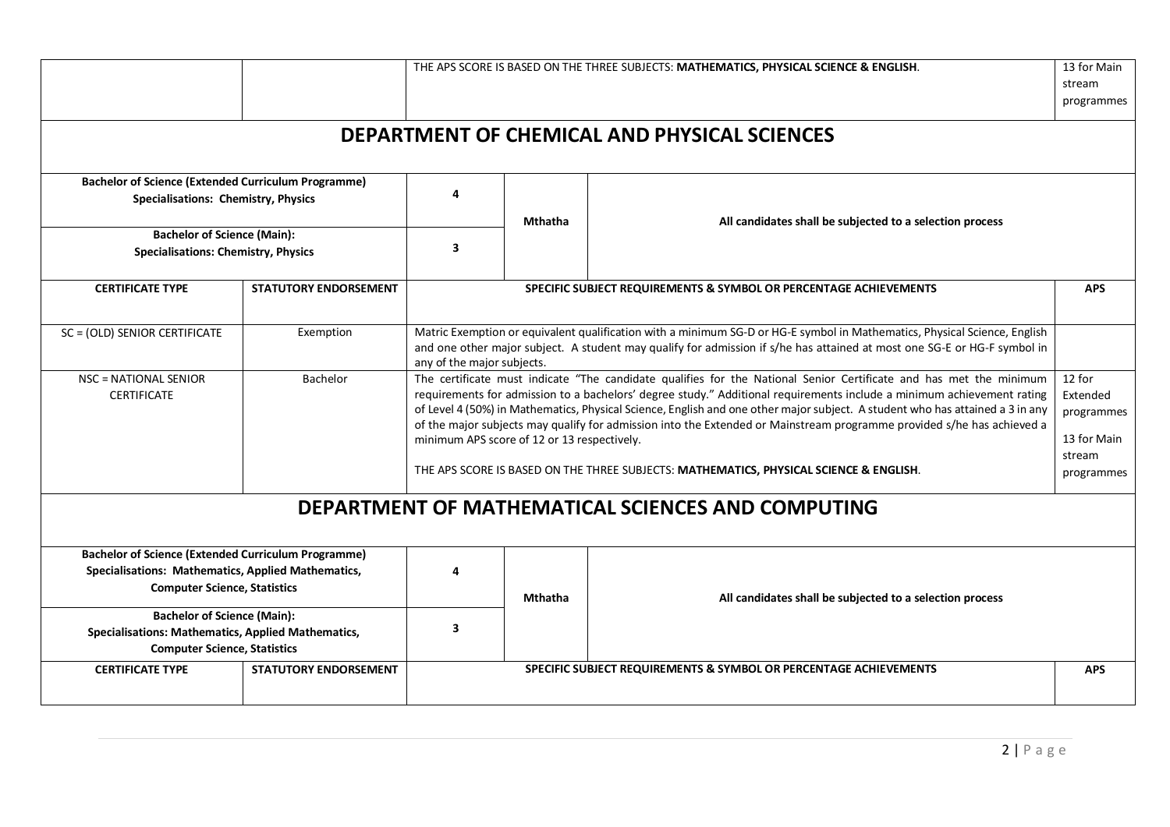|                                                                                                                                                         |                              |                                                                                                                                                                                                                                                                                                                                                                                                                                                                                                                                                                                                                                                                                                                             |                | THE APS SCORE IS BASED ON THE THREE SUBJECTS: MATHEMATICS, PHYSICAL SCIENCE & ENGLISH. | 13 for Main<br>stream<br>programmes |  |
|---------------------------------------------------------------------------------------------------------------------------------------------------------|------------------------------|-----------------------------------------------------------------------------------------------------------------------------------------------------------------------------------------------------------------------------------------------------------------------------------------------------------------------------------------------------------------------------------------------------------------------------------------------------------------------------------------------------------------------------------------------------------------------------------------------------------------------------------------------------------------------------------------------------------------------------|----------------|----------------------------------------------------------------------------------------|-------------------------------------|--|
|                                                                                                                                                         |                              |                                                                                                                                                                                                                                                                                                                                                                                                                                                                                                                                                                                                                                                                                                                             |                | DEPARTMENT OF CHEMICAL AND PHYSICAL SCIENCES                                           |                                     |  |
| <b>Bachelor of Science (Extended Curriculum Programme)</b><br>Specialisations: Chemistry, Physics                                                       |                              | 4                                                                                                                                                                                                                                                                                                                                                                                                                                                                                                                                                                                                                                                                                                                           | <b>Mthatha</b> | All candidates shall be subjected to a selection process                               |                                     |  |
| <b>Bachelor of Science (Main):</b><br><b>Specialisations: Chemistry, Physics</b>                                                                        |                              | 3                                                                                                                                                                                                                                                                                                                                                                                                                                                                                                                                                                                                                                                                                                                           |                |                                                                                        |                                     |  |
| <b>CERTIFICATE TYPE</b>                                                                                                                                 | <b>STATUTORY ENDORSEMENT</b> | SPECIFIC SUBJECT REQUIREMENTS & SYMBOL OR PERCENTAGE ACHIEVEMENTS                                                                                                                                                                                                                                                                                                                                                                                                                                                                                                                                                                                                                                                           |                |                                                                                        | <b>APS</b>                          |  |
| SC = (OLD) SENIOR CERTIFICATE                                                                                                                           | Exemption                    | Matric Exemption or equivalent qualification with a minimum SG-D or HG-E symbol in Mathematics, Physical Science, English<br>and one other major subject. A student may qualify for admission if s/he has attained at most one SG-E or HG-F symbol in<br>any of the major subjects.                                                                                                                                                                                                                                                                                                                                                                                                                                         |                |                                                                                        |                                     |  |
| <b>NSC = NATIONAL SENIOR</b><br><b>CERTIFICATE</b>                                                                                                      | Bachelor                     | 12 for<br>The certificate must indicate "The candidate qualifies for the National Senior Certificate and has met the minimum<br>requirements for admission to a bachelors' degree study." Additional requirements include a minimum achievement rating<br>Extended<br>of Level 4 (50%) in Mathematics, Physical Science, English and one other major subject. A student who has attained a 3 in any<br>programmes<br>of the major subjects may qualify for admission into the Extended or Mainstream programme provided s/he has achieved a<br>13 for Main<br>minimum APS score of 12 or 13 respectively.<br>stream<br>THE APS SCORE IS BASED ON THE THREE SUBJECTS: MATHEMATICS, PHYSICAL SCIENCE & ENGLISH.<br>programmes |                |                                                                                        |                                     |  |
|                                                                                                                                                         |                              |                                                                                                                                                                                                                                                                                                                                                                                                                                                                                                                                                                                                                                                                                                                             |                | DEPARTMENT OF MATHEMATICAL SCIENCES AND COMPUTING                                      |                                     |  |
| <b>Bachelor of Science (Extended Curriculum Programme)</b><br>Specialisations: Mathematics, Applied Mathematics,<br><b>Computer Science, Statistics</b> |                              | 4                                                                                                                                                                                                                                                                                                                                                                                                                                                                                                                                                                                                                                                                                                                           | <b>Mthatha</b> | All candidates shall be subjected to a selection process                               |                                     |  |
| <b>Bachelor of Science (Main):</b><br><b>Specialisations: Mathematics, Applied Mathematics,</b><br><b>Computer Science, Statistics</b>                  |                              | 3                                                                                                                                                                                                                                                                                                                                                                                                                                                                                                                                                                                                                                                                                                                           |                |                                                                                        |                                     |  |
| <b>CERTIFICATE TYPE</b>                                                                                                                                 | <b>STATUTORY ENDORSEMENT</b> |                                                                                                                                                                                                                                                                                                                                                                                                                                                                                                                                                                                                                                                                                                                             |                | SPECIFIC SUBJECT REQUIREMENTS & SYMBOL OR PERCENTAGE ACHIEVEMENTS                      | <b>APS</b>                          |  |